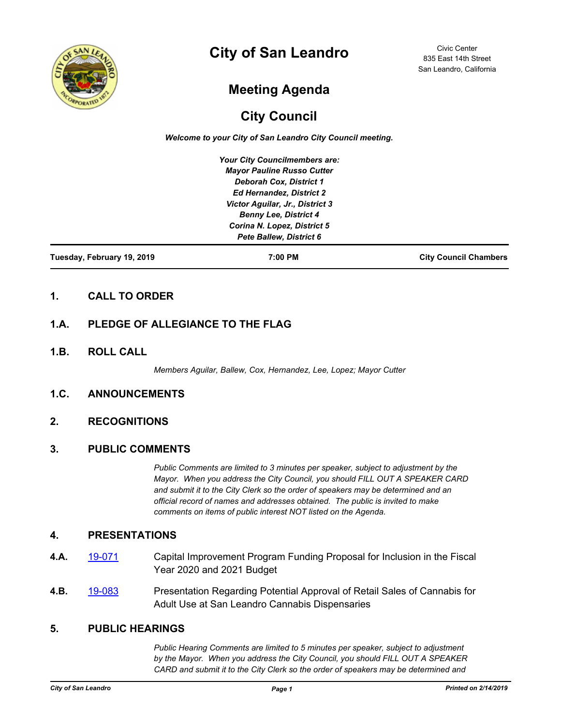

# **City of San Leandro**

Civic Center 835 East 14th Street San Leandro, California

## **Meeting Agenda**

## **City Council**

*Welcome to your City of San Leandro City Council meeting.*

*Your City Councilmembers are: Mayor Pauline Russo Cutter Deborah Cox, District 1 Ed Hernandez, District 2 Victor Aguilar, Jr., District 3 Benny Lee, District 4 Corina N. Lopez, District 5 Pete Ballew, District 6*

**Tuesday, February 19, 2019 7:00 PM City Council Chambers**

## **1. CALL TO ORDER**

## **1.A. PLEDGE OF ALLEGIANCE TO THE FLAG**

**1.B. ROLL CALL**

*Members Aguilar, Ballew, Cox, Hernandez, Lee, Lopez; Mayor Cutter*

## **1.C. ANNOUNCEMENTS**

## **2. RECOGNITIONS**

#### **3. PUBLIC COMMENTS**

*Public Comments are limited to 3 minutes per speaker, subject to adjustment by the Mayor. When you address the City Council, you should FILL OUT A SPEAKER CARD and submit it to the City Clerk so the order of speakers may be determined and an official record of names and addresses obtained. The public is invited to make comments on items of public interest NOT listed on the Agenda.*

#### **4. PRESENTATIONS**

- **4.A.** [19-071](http://sanleandro.legistar.com/gateway.aspx?m=l&id=/matter.aspx?key=7342) Capital Improvement Program Funding Proposal for Inclusion in the Fiscal Year 2020 and 2021 Budget
- **4.B.** [19-083](http://sanleandro.legistar.com/gateway.aspx?m=l&id=/matter.aspx?key=7354) Presentation Regarding Potential Approval of Retail Sales of Cannabis for Adult Use at San Leandro Cannabis Dispensaries

#### **5. PUBLIC HEARINGS**

*Public Hearing Comments are limited to 5 minutes per speaker, subject to adjustment by the Mayor. When you address the City Council, you should FILL OUT A SPEAKER CARD and submit it to the City Clerk so the order of speakers may be determined and*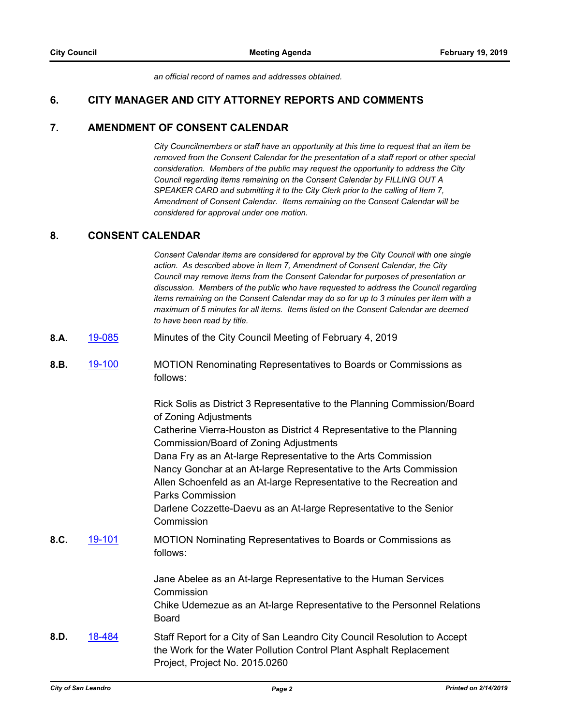*an official record of names and addresses obtained.*

### **6. CITY MANAGER AND CITY ATTORNEY REPORTS AND COMMENTS**

#### **7. AMENDMENT OF CONSENT CALENDAR**

*City Councilmembers or staff have an opportunity at this time to request that an item be removed from the Consent Calendar for the presentation of a staff report or other special consideration. Members of the public may request the opportunity to address the City Council regarding items remaining on the Consent Calendar by FILLING OUT A SPEAKER CARD and submitting it to the City Clerk prior to the calling of Item 7, Amendment of Consent Calendar. Items remaining on the Consent Calendar will be considered for approval under one motion.*

#### **8. CONSENT CALENDAR**

*Consent Calendar items are considered for approval by the City Council with one single action. As described above in Item 7, Amendment of Consent Calendar, the City Council may remove items from the Consent Calendar for purposes of presentation or discussion. Members of the public who have requested to address the Council regarding items remaining on the Consent Calendar may do so for up to 3 minutes per item with a maximum of 5 minutes for all items. Items listed on the Consent Calendar are deemed to have been read by title.*

- **8.A.** [19-085](http://sanleandro.legistar.com/gateway.aspx?m=l&id=/matter.aspx?key=7356) Minutes of the City Council Meeting of February 4, 2019
- **8.B.** [19-100](http://sanleandro.legistar.com/gateway.aspx?m=l&id=/matter.aspx?key=7371) MOTION Renominating Representatives to Boards or Commissions as follows:

Rick Solis as District 3 Representative to the Planning Commission/Board of Zoning Adjustments

Catherine Vierra-Houston as District 4 Representative to the Planning Commission/Board of Zoning Adjustments

Dana Fry as an At-large Representative to the Arts Commission Nancy Gonchar at an At-large Representative to the Arts Commission Allen Schoenfeld as an At-large Representative to the Recreation and Parks Commission

Darlene Cozzette-Daevu as an At-large Representative to the Senior **Commission** 

**8.C.** [19-101](http://sanleandro.legistar.com/gateway.aspx?m=l&id=/matter.aspx?key=7372) MOTION Nominating Representatives to Boards or Commissions as follows:

> Jane Abelee as an At-large Representative to the Human Services **Commission**

Chike Udemezue as an At-large Representative to the Personnel Relations **Board** 

**8.D.** [18-484](http://sanleandro.legistar.com/gateway.aspx?m=l&id=/matter.aspx?key=6075) Staff Report for a City of San Leandro City Council Resolution to Accept the Work for the Water Pollution Control Plant Asphalt Replacement Project, Project No. 2015.0260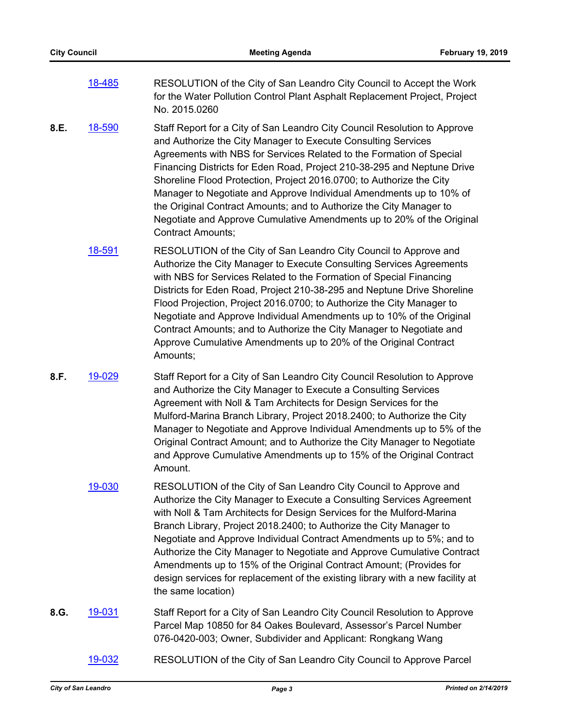| 18-485 | RESOLUTION of the City of San Leandro City Council to Accept the Work      |
|--------|----------------------------------------------------------------------------|
|        | for the Water Pollution Control Plant Asphalt Replacement Project, Project |
|        | No. 2015.0260                                                              |

- **8.E.** [18-590](http://sanleandro.legistar.com/gateway.aspx?m=l&id=/matter.aspx?key=6183) Staff Report for a City of San Leandro City Council Resolution to Approve and Authorize the City Manager to Execute Consulting Services Agreements with NBS for Services Related to the Formation of Special Financing Districts for Eden Road, Project 210-38-295 and Neptune Drive Shoreline Flood Protection, Project 2016.0700; to Authorize the City Manager to Negotiate and Approve Individual Amendments up to 10% of the Original Contract Amounts; and to Authorize the City Manager to Negotiate and Approve Cumulative Amendments up to 20% of the Original Contract Amounts;
	- [18-591](http://sanleandro.legistar.com/gateway.aspx?m=l&id=/matter.aspx?key=6184) RESOLUTION of the City of San Leandro City Council to Approve and Authorize the City Manager to Execute Consulting Services Agreements with NBS for Services Related to the Formation of Special Financing Districts for Eden Road, Project 210-38-295 and Neptune Drive Shoreline Flood Projection, Project 2016.0700; to Authorize the City Manager to Negotiate and Approve Individual Amendments up to 10% of the Original Contract Amounts; and to Authorize the City Manager to Negotiate and Approve Cumulative Amendments up to 20% of the Original Contract Amounts;
- **8.F.** [19-029](http://sanleandro.legistar.com/gateway.aspx?m=l&id=/matter.aspx?key=7300) Staff Report for a City of San Leandro City Council Resolution to Approve and Authorize the City Manager to Execute a Consulting Services Agreement with Noll & Tam Architects for Design Services for the Mulford-Marina Branch Library, Project 2018.2400; to Authorize the City Manager to Negotiate and Approve Individual Amendments up to 5% of the Original Contract Amount; and to Authorize the City Manager to Negotiate and Approve Cumulative Amendments up to 15% of the Original Contract Amount.
	- [19-030](http://sanleandro.legistar.com/gateway.aspx?m=l&id=/matter.aspx?key=7301) RESOLUTION of the City of San Leandro City Council to Approve and Authorize the City Manager to Execute a Consulting Services Agreement with Noll & Tam Architects for Design Services for the Mulford-Marina Branch Library, Project 2018.2400; to Authorize the City Manager to Negotiate and Approve Individual Contract Amendments up to 5%; and to Authorize the City Manager to Negotiate and Approve Cumulative Contract Amendments up to 15% of the Original Contract Amount; (Provides for design services for replacement of the existing library with a new facility at the same location)
- **8.G.** [19-031](http://sanleandro.legistar.com/gateway.aspx?m=l&id=/matter.aspx?key=7302) Staff Report for a City of San Leandro City Council Resolution to Approve Parcel Map 10850 for 84 Oakes Boulevard, Assessor's Parcel Number 076-0420-003; Owner, Subdivider and Applicant: Rongkang Wang
	- [19-032](http://sanleandro.legistar.com/gateway.aspx?m=l&id=/matter.aspx?key=7303) RESOLUTION of the City of San Leandro City Council to Approve Parcel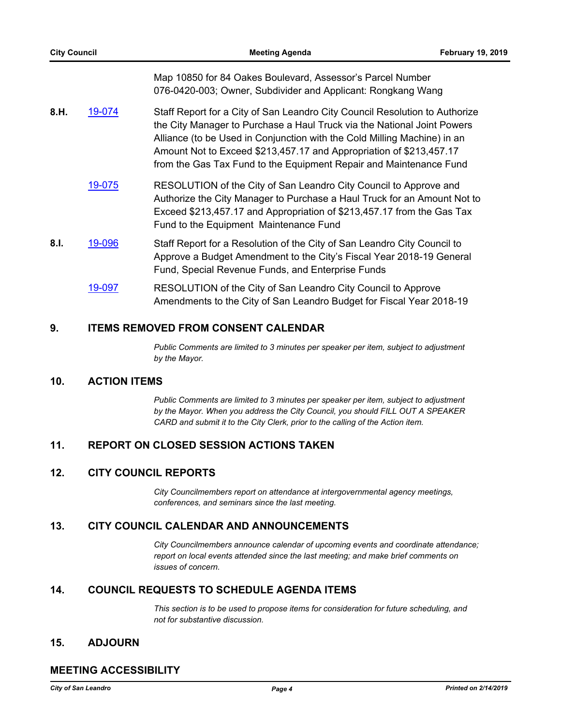Map 10850 for 84 Oakes Boulevard, Assessor's Parcel Number 076-0420-003; Owner, Subdivider and Applicant: Rongkang Wang

- **8.H.** [19-074](http://sanleandro.legistar.com/gateway.aspx?m=l&id=/matter.aspx?key=7345) Staff Report for a City of San Leandro City Council Resolution to Authorize the City Manager to Purchase a Haul Truck via the National Joint Powers Alliance (to be Used in Conjunction with the Cold Milling Machine) in an Amount Not to Exceed \$213,457.17 and Appropriation of \$213,457.17 from the Gas Tax Fund to the Equipment Repair and Maintenance Fund
	- [19-075](http://sanleandro.legistar.com/gateway.aspx?m=l&id=/matter.aspx?key=7346) RESOLUTION of the City of San Leandro City Council to Approve and Authorize the City Manager to Purchase a Haul Truck for an Amount Not to Exceed \$213,457.17 and Appropriation of \$213,457.17 from the Gas Tax Fund to the Equipment Maintenance Fund
- **8.I.** [19-096](http://sanleandro.legistar.com/gateway.aspx?m=l&id=/matter.aspx?key=7367) Staff Report for a Resolution of the City of San Leandro City Council to Approve a Budget Amendment to the City's Fiscal Year 2018-19 General Fund, Special Revenue Funds, and Enterprise Funds
	- [19-097](http://sanleandro.legistar.com/gateway.aspx?m=l&id=/matter.aspx?key=7368) RESOLUTION of the City of San Leandro City Council to Approve Amendments to the City of San Leandro Budget for Fiscal Year 2018-19

### **9. ITEMS REMOVED FROM CONSENT CALENDAR**

*Public Comments are limited to 3 minutes per speaker per item, subject to adjustment by the Mayor.*

#### **10. ACTION ITEMS**

*Public Comments are limited to 3 minutes per speaker per item, subject to adjustment by the Mayor. When you address the City Council, you should FILL OUT A SPEAKER CARD and submit it to the City Clerk, prior to the calling of the Action item.*

## **11. REPORT ON CLOSED SESSION ACTIONS TAKEN**

#### **12. CITY COUNCIL REPORTS**

*City Councilmembers report on attendance at intergovernmental agency meetings, conferences, and seminars since the last meeting.*

#### **13. CITY COUNCIL CALENDAR AND ANNOUNCEMENTS**

*City Councilmembers announce calendar of upcoming events and coordinate attendance; report on local events attended since the last meeting; and make brief comments on issues of concern.*

## **14. COUNCIL REQUESTS TO SCHEDULE AGENDA ITEMS**

*This section is to be used to propose items for consideration for future scheduling, and not for substantive discussion.*

#### **15. ADJOURN**

## **MEETING ACCESSIBILITY**